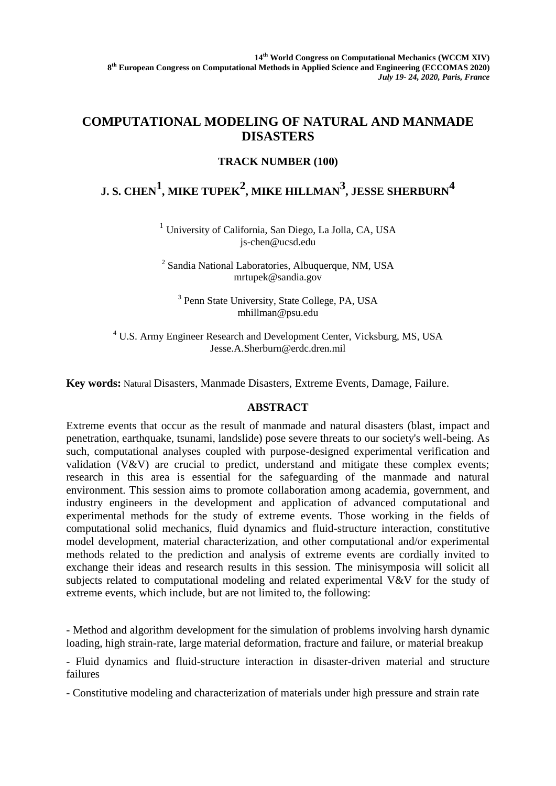## **COMPUTATIONAL MODELING OF NATURAL AND MANMADE DISASTERS**

## **TRACK NUMBER (100)**

## **J. S. CHEN<sup>1</sup> , MIKE TUPEK2 , MIKE HILLMAN<sup>3</sup> , JESSE SHERBURN4**

<sup>1</sup> University of California, San Diego, La Jolla, CA, USA [js-chen@ucsd.edu](mailto:js-chen@ucsd.edu)

<sup>2</sup> Sandia National Laboratories, Albuquerque, NM, USA mrtupek@sandia.gov

<sup>3</sup> Penn State University, State College, PA, USA [mhillman@psu.edu](mailto:mhillman@psu.edu)

<sup>4</sup> U.S. Army Engineer Research and Development Center, Vicksburg, MS, USA [Jesse.A.Sherburn@erdc.dren.mil](mailto:Jesse.A.Sherburn@erdc.dren.mil)

**Key words:** Natural Disasters, Manmade Disasters, Extreme Events, Damage, Failure.

## **ABSTRACT**

Extreme events that occur as the result of manmade and natural disasters (blast, impact and penetration, earthquake, tsunami, landslide) pose severe threats to our society's well-being. As such, computational analyses coupled with purpose-designed experimental verification and validation  $(V&V)$  are crucial to predict, understand and mitigate these complex events; research in this area is essential for the safeguarding of the manmade and natural environment. This session aims to promote collaboration among academia, government, and industry engineers in the development and application of advanced computational and experimental methods for the study of extreme events. Those working in the fields of computational solid mechanics, fluid dynamics and fluid-structure interaction, constitutive model development, material characterization, and other computational and/or experimental methods related to the prediction and analysis of extreme events are cordially invited to exchange their ideas and research results in this session. The minisymposia will solicit all subjects related to computational modeling and related experimental V&V for the study of extreme events, which include, but are not limited to, the following:

- Method and algorithm development for the simulation of problems involving harsh dynamic loading, high strain-rate, large material deformation, fracture and failure, or material breakup

- Fluid dynamics and fluid-structure interaction in disaster-driven material and structure failures

- Constitutive modeling and characterization of materials under high pressure and strain rate